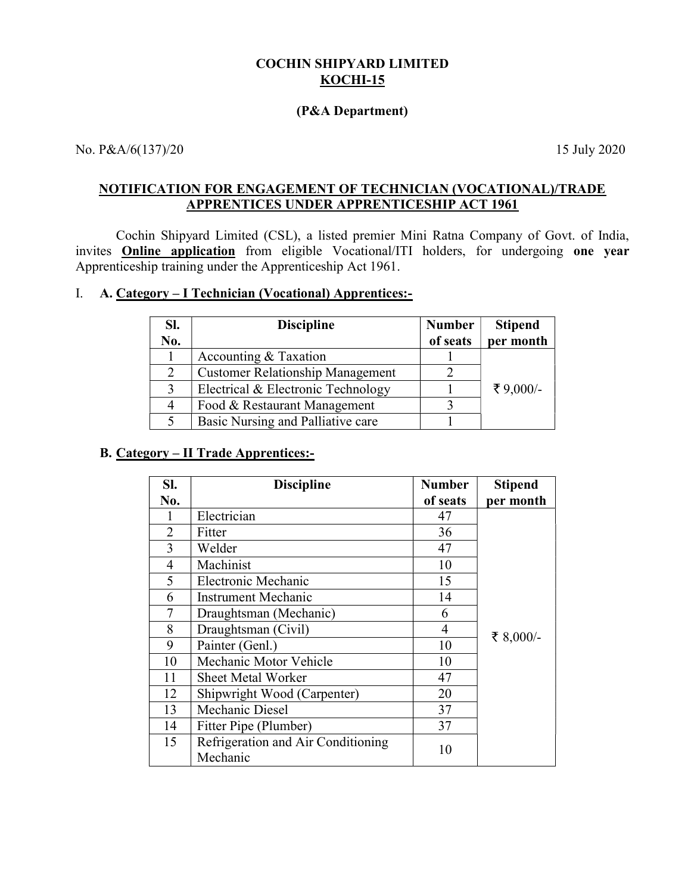### COCHIN SHIPYARD LIMITED **KOCHI-15**

#### (P&A Department)

No. P&A/6(137)/20 15 July 2020

## NOTIFICATION FOR ENGAGEMENT OF TECHNICIAN (VOCATIONAL)/TRADE APPRENTICES UNDER APPRENTICESHIP ACT 1961

Cochin Shipyard Limited (CSL), a listed premier Mini Ratna Company of Govt. of India, invites Online application from eligible Vocational/ITI holders, for undergoing one year Apprenticeship training under the Apprenticeship Act 1961.

# I. A. Category – I Technician (Vocational) Apprentices:-

| SI.<br>No. | <b>Discipline</b>                       | <b>Number</b><br>of seats | <b>Stipend</b><br>per month |
|------------|-----------------------------------------|---------------------------|-----------------------------|
|            | Accounting & Taxation                   |                           |                             |
| 2          | <b>Customer Relationship Management</b> |                           |                             |
| 3          | Electrical & Electronic Technology      |                           | ₹ 9,000/-                   |
| 4          | Food & Restaurant Management            |                           |                             |
|            | Basic Nursing and Palliative care       |                           |                             |

## B. Category – II Trade Apprentices:-

| SI.            | <b>Discipline</b>                              | <b>Number</b>  | <b>Stipend</b> |
|----------------|------------------------------------------------|----------------|----------------|
| No.            |                                                | of seats       | per month      |
| 1              | Electrician                                    | 47             |                |
| $\overline{2}$ | Fitter                                         | 36             |                |
| 3              | Welder                                         | 47             |                |
| 4              | Machinist                                      | 10             |                |
| 5              | Electronic Mechanic                            | 15             |                |
| 6              | Instrument Mechanic                            | 14             |                |
| 7              | Draughtsman (Mechanic)                         | 6              |                |
| 8              | Draughtsman (Civil)                            | $\overline{4}$ | ₹ 8,000/-      |
| 9              | Painter (Genl.)                                | 10             |                |
| 10             | Mechanic Motor Vehicle                         | 10             |                |
| 11             | <b>Sheet Metal Worker</b>                      | 47             |                |
| 12             | Shipwright Wood (Carpenter)                    | 20             |                |
| 13             | Mechanic Diesel                                | 37             |                |
| 14             | Fitter Pipe (Plumber)                          | 37             |                |
| 15             | Refrigeration and Air Conditioning<br>Mechanic | 10             |                |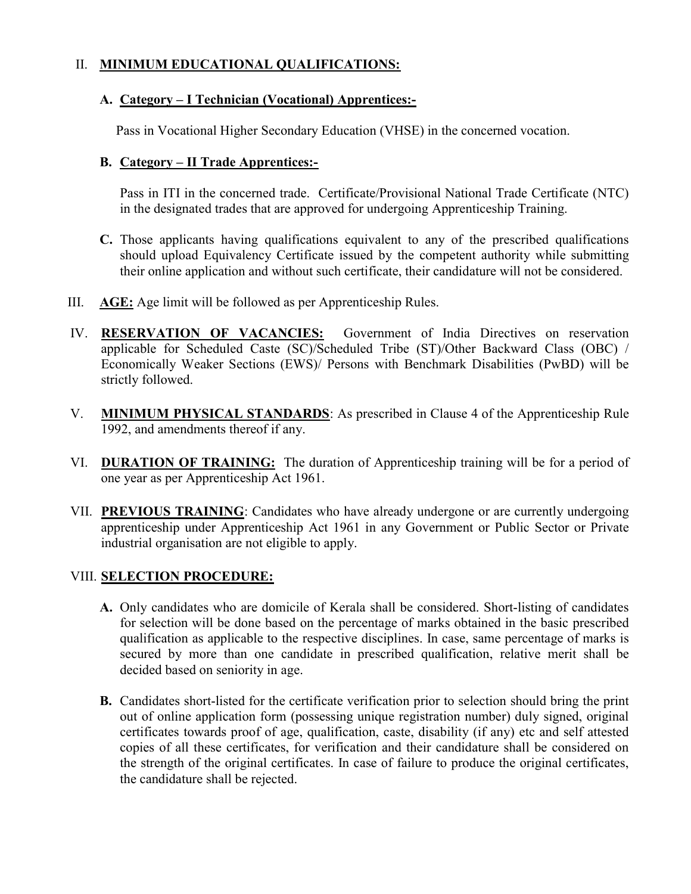## II. MINIMUM EDUCATIONAL QUALIFICATIONS:

## A. Category – I Technician (Vocational) Apprentices:-

Pass in Vocational Higher Secondary Education (VHSE) in the concerned vocation.

# B. Category – II Trade Apprentices:-

Pass in ITI in the concerned trade. Certificate/Provisional National Trade Certificate (NTC) in the designated trades that are approved for undergoing Apprenticeship Training.

- C. Those applicants having qualifications equivalent to any of the prescribed qualifications should upload Equivalency Certificate issued by the competent authority while submitting their online application and without such certificate, their candidature will not be considered.
- III. AGE: Age limit will be followed as per Apprenticeship Rules.
- IV. RESERVATION OF VACANCIES: Government of India Directives on reservation applicable for Scheduled Caste (SC)/Scheduled Tribe (ST)/Other Backward Class (OBC) / Economically Weaker Sections (EWS)/ Persons with Benchmark Disabilities (PwBD) will be strictly followed.
- V. MINIMUM PHYSICAL STANDARDS: As prescribed in Clause 4 of the Apprenticeship Rule 1992, and amendments thereof if any.
- VI. **DURATION OF TRAINING:** The duration of Apprenticeship training will be for a period of one year as per Apprenticeship Act 1961.
- VII. PREVIOUS TRAINING: Candidates who have already undergone or are currently undergoing apprenticeship under Apprenticeship Act 1961 in any Government or Public Sector or Private industrial organisation are not eligible to apply.

# VIII. **SELECTION PROCEDURE:**

- A. Only candidates who are domicile of Kerala shall be considered. Short-listing of candidates for selection will be done based on the percentage of marks obtained in the basic prescribed qualification as applicable to the respective disciplines. In case, same percentage of marks is secured by more than one candidate in prescribed qualification, relative merit shall be decided based on seniority in age.
- B. Candidates short-listed for the certificate verification prior to selection should bring the print out of online application form (possessing unique registration number) duly signed, original certificates towards proof of age, qualification, caste, disability (if any) etc and self attested copies of all these certificates, for verification and their candidature shall be considered on the strength of the original certificates. In case of failure to produce the original certificates, the candidature shall be rejected.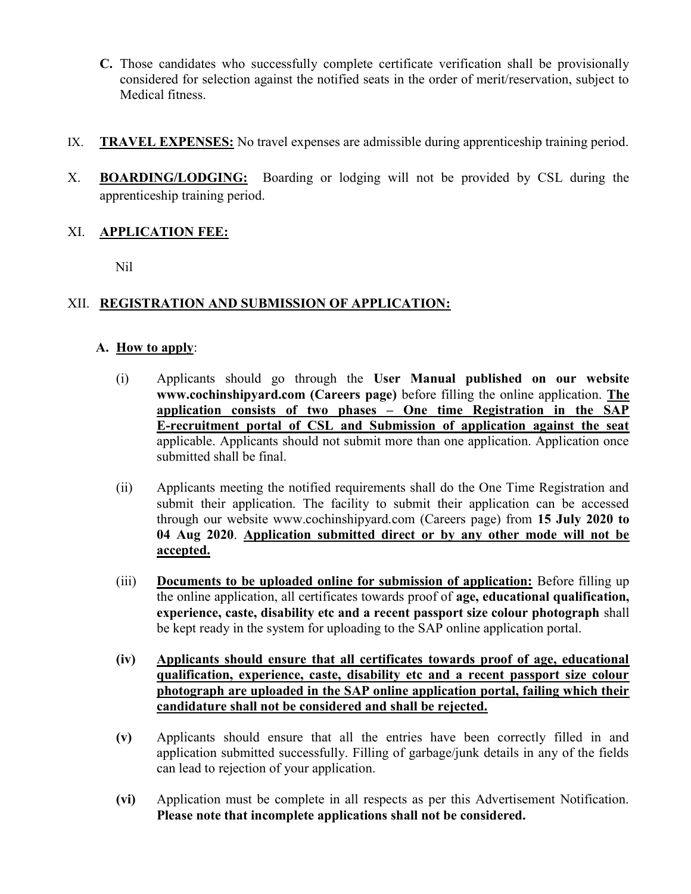- C. Those candidates who successfully complete certificate verification shall be provisionally considered for selection against the notified seats in the order of merit/reservation, subject to Medical fitness.
- IX. TRAVEL EXPENSES: No travel expenses are admissible during apprenticeship training period.
- X. BOARDING/LODGING: Boarding or lodging will not be provided by CSL during the apprenticeship training period.

# XI. APPLICATION FEE:

Nil

# XII. REGISTRATION AND SUBMISSION OF APPLICATION:

## A. How to apply:

- (i) Applicants should go through the User Manual published on our website www.cochinshipyard.com (Careers page) before filling the online application. The application consists of two phases – One time Registration in the SAP E-recruitment portal of CSL and Submission of application against the seat applicable. Applicants should not submit more than one application. Application once submitted shall be final.
- (ii) Applicants meeting the notified requirements shall do the One Time Registration and submit their application. The facility to submit their application can be accessed through our website www.cochinshipyard.com (Careers page) from 15 July 2020 to 04 Aug 2020. Application submitted direct or by any other mode will not be accepted.
- (iii) Documents to be uploaded online for submission of application: Before filling up the online application, all certificates towards proof of age, educational qualification, experience, caste, disability etc and a recent passport size colour photograph shall be kept ready in the system for uploading to the SAP online application portal.
- (iv) Applicants should ensure that all certificates towards proof of age, educational qualification, experience, caste, disability etc and a recent passport size colour photograph are uploaded in the SAP online application portal, failing which their candidature shall not be considered and shall be rejected.
- (v) Applicants should ensure that all the entries have been correctly filled in and application submitted successfully. Filling of garbage/junk details in any of the fields can lead to rejection of your application.
- (vi) Application must be complete in all respects as per this Advertisement Notification. Please note that incomplete applications shall not be considered.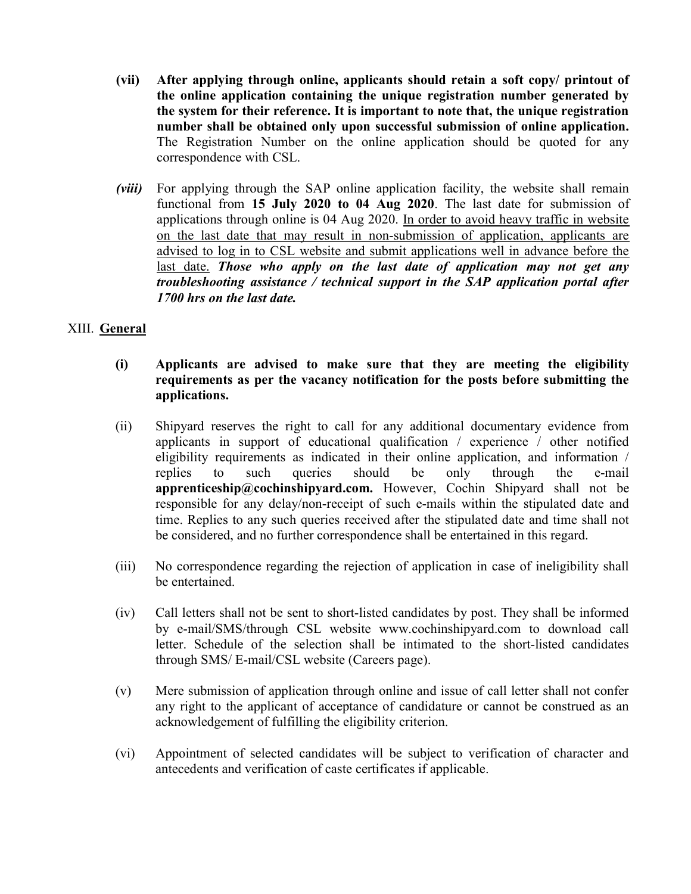- (vii) After applying through online, applicants should retain a soft copy/ printout of the online application containing the unique registration number generated by the system for their reference. It is important to note that, the unique registration number shall be obtained only upon successful submission of online application. The Registration Number on the online application should be quoted for any correspondence with CSL.
- (viii) For applying through the SAP online application facility, the website shall remain functional from 15 July 2020 to 04 Aug 2020. The last date for submission of applications through online is 04 Aug 2020. In order to avoid heavy traffic in website on the last date that may result in non-submission of application, applicants are advised to log in to CSL website and submit applications well in advance before the last date. Those who apply on the last date of application may not get any troubleshooting assistance / technical support in the SAP application portal after 1700 hrs on the last date.

## XIII. General

- (i) Applicants are advised to make sure that they are meeting the eligibility requirements as per the vacancy notification for the posts before submitting the applications.
- (ii) Shipyard reserves the right to call for any additional documentary evidence from applicants in support of educational qualification / experience / other notified eligibility requirements as indicated in their online application, and information / replies to such queries should be only through the e-mail apprenticeship@cochinshipyard.com. However, Cochin Shipyard shall not be responsible for any delay/non-receipt of such e-mails within the stipulated date and time. Replies to any such queries received after the stipulated date and time shall not be considered, and no further correspondence shall be entertained in this regard.
- (iii) No correspondence regarding the rejection of application in case of ineligibility shall be entertained.
- (iv) Call letters shall not be sent to short-listed candidates by post. They shall be informed by e-mail/SMS/through CSL website www.cochinshipyard.com to download call letter. Schedule of the selection shall be intimated to the short-listed candidates through SMS/ E-mail/CSL website (Careers page).
- (v) Mere submission of application through online and issue of call letter shall not confer any right to the applicant of acceptance of candidature or cannot be construed as an acknowledgement of fulfilling the eligibility criterion.
- (vi) Appointment of selected candidates will be subject to verification of character and antecedents and verification of caste certificates if applicable.